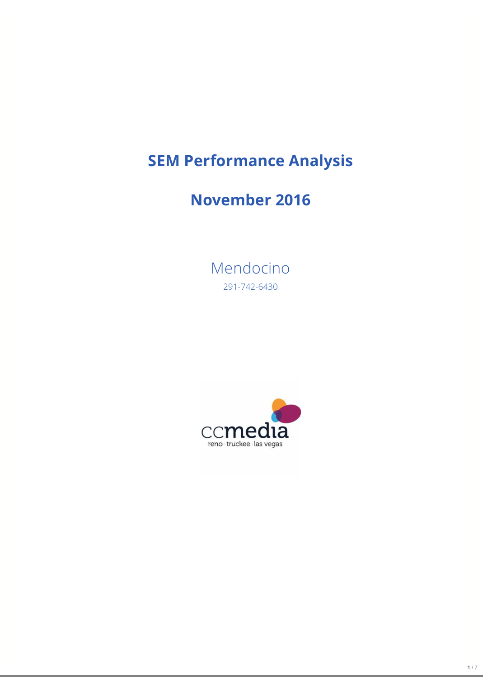# **SEM Performance Analysis**

## **November 2016**

Mendocino 291-742-6430

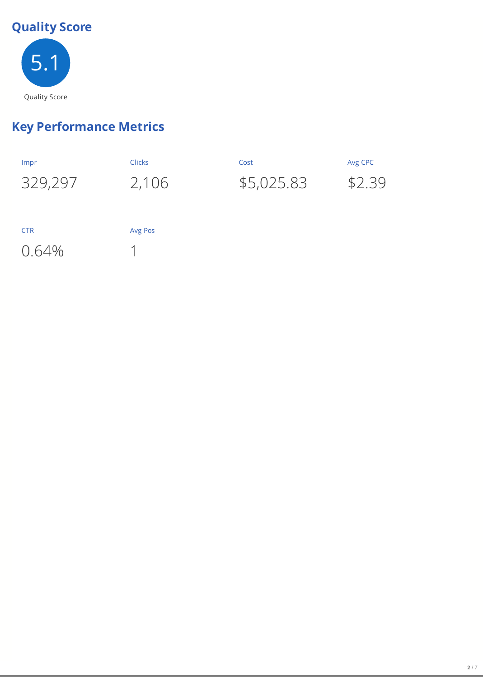## **Quality Score**



## **Key Performance Metrics**

| Impr       | <b>Clicks</b> | Cost       | Avg CPC |
|------------|---------------|------------|---------|
| 329,297    | 2,106         | \$5,025.83 | \$2.39  |
|            |               |            |         |
|            |               |            |         |
| <b>CTR</b> | Avg Pos       |            |         |
| 0.64%      |               |            |         |
|            |               |            |         |
|            |               |            |         |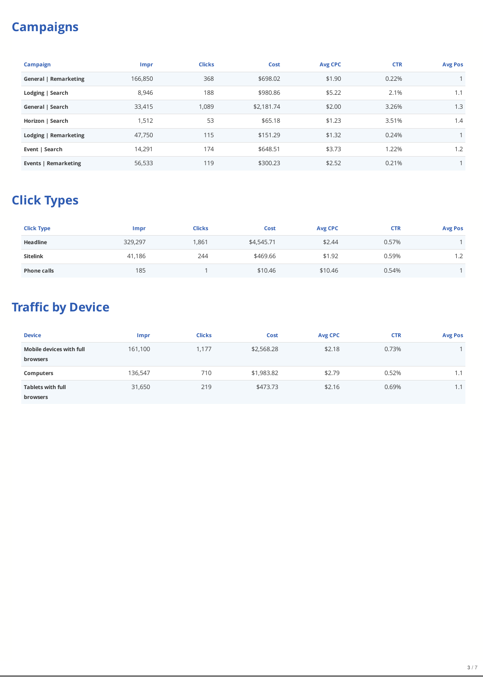## **Campaigns**

| <b>Campaign</b>              | <b>Impr</b> | <b>Clicks</b> | Cost       | <b>Avg CPC</b> | <b>CTR</b> | <b>Avg Pos</b> |
|------------------------------|-------------|---------------|------------|----------------|------------|----------------|
| <b>General   Remarketing</b> | 166,850     | 368           | \$698.02   | \$1.90         | 0.22%      |                |
| Lodging   Search             | 8,946       | 188           | \$980.86   | \$5.22         | 2.1%       | 1.1            |
| General   Search             | 33,415      | 1,089         | \$2,181.74 | \$2.00         | 3.26%      | 1.3            |
| Horizon   Search             | 1,512       | 53            | \$65.18    | \$1.23         | 3.51%      | 1.4            |
| Lodging   Remarketing        | 47,750      | 115           | \$151.29   | \$1.32         | 0.24%      |                |
| Event   Search               | 14,291      | 174           | \$648.51   | \$3.73         | 1.22%      | 1.2            |
| Events   Remarketing         | 56,533      | 119           | \$300.23   | \$2.52         | 0.21%      |                |

## **Click Types**

| <b>Click Type</b>  | Impr    | <b>Clicks</b> | Cost       | <b>Avg CPC</b> | <b>CTR</b> | <b>Avg Pos</b> |
|--------------------|---------|---------------|------------|----------------|------------|----------------|
| <b>Headline</b>    | 329,297 | ,861          | \$4,545.71 | \$2.44         | 0.57%      |                |
| <b>Sitelink</b>    | 41,186  | 244           | \$469.66   | \$1.92         | 0.59%      | 1.2            |
| <b>Phone calls</b> | 185     |               | \$10.46    | \$10.46        | 0.54%      |                |

## **Traffic by Device**

| <b>Device</b>                               | <b>Impr</b> | <b>Clicks</b> | <b>Cost</b> | <b>Avg CPC</b> | <b>CTR</b> | <b>Avg Pos</b> |
|---------------------------------------------|-------------|---------------|-------------|----------------|------------|----------------|
| Mobile devices with full<br>browsers        | 161,100     | 1,177         | \$2,568.28  | \$2.18         | 0.73%      |                |
| <b>Computers</b>                            | 136,547     | 710           | \$1,983.82  | \$2.79         | 0.52%      | 1.1            |
| <b>Tablets with full</b><br><b>browsers</b> | 31,650      | 219           | \$473.73    | \$2.16         | 0.69%      | 1.1            |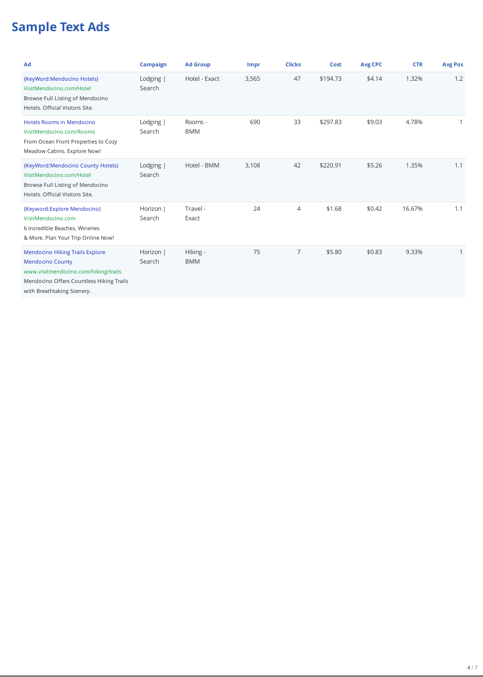### **Sample Text Ads**

| Ad                                                                                                                                                                                  | <b>Campaign</b>     | <b>Ad Group</b>        | <b>Impr</b> | <b>Clicks</b> | <b>Cost</b> | <b>Avg CPC</b> | <b>CTR</b> | <b>Avg Pos</b> |
|-------------------------------------------------------------------------------------------------------------------------------------------------------------------------------------|---------------------|------------------------|-------------|---------------|-------------|----------------|------------|----------------|
| {KeyWord:Mendocino Hotels}<br>VisitMendocino.com/Hotel<br>Browse Full Listing of Mendocino<br>Hotels. Official Visitors Site.                                                       | Lodging  <br>Search | Hotel - Exact          | 3,565       | 47            | \$194.73    | \$4.14         | 1.32%      | 1.2            |
| <b>Hotels Rooms in Mendocino</b><br>VisitMendocino.com/Rooms<br>From Ocean Front Properties to Cozy<br>Meadow Cabins. Explore Now!                                                  | Lodging  <br>Search | Rooms -<br><b>BMM</b>  | 690         | 33            | \$297.83    | \$9.03         | 4.78%      |                |
| {KeyWord:Mendocino County Hotels}<br>VisitMendocino.com/Hotel<br>Browse Full Listing of Mendocino<br>Hotels. Official Visitors Site.                                                | Lodging  <br>Search | Hotel - BMM            | 3,108       | 42            | \$220.91    | \$5.26         | 1.35%      | 1.1            |
| {Keyword:Explore Mendocino}<br>VisitMendocino.com<br>6 Incredible Beaches, Wineries<br>& More. Plan Your Trip Online Now!                                                           | Horizon  <br>Search | Travel -<br>Exact      | 24          | 4             | \$1.68      | \$0.42         | 16.67%     | 1.1            |
| <b>Mendocino Hiking Trails Explore</b><br><b>Mendocino County</b><br>www.visitmendocino.com/hiking/trails<br>Mendocino Offers Countless Hiking Trails<br>with Breathtaking Scenery. | Horizon  <br>Search | Hiking -<br><b>BMM</b> | 75          | 7             | \$5.80      | \$0.83         | 9.33%      |                |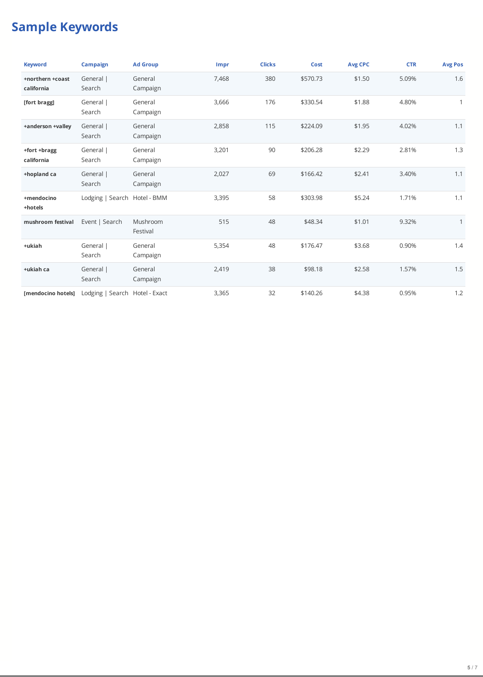#### **Sample Keywords**

| <b>Keyword</b>                 | <b>Campaign</b>                | <b>Ad Group</b>      | <b>Impr</b> | <b>Clicks</b> | <b>Cost</b> | <b>Avg CPC</b> | <b>CTR</b> | <b>Avg Pos</b> |
|--------------------------------|--------------------------------|----------------------|-------------|---------------|-------------|----------------|------------|----------------|
| +northern +coast<br>california | General  <br>Search            | General<br>Campaign  | 7,468       | 380           | \$570.73    | \$1.50         | 5.09%      | 1.6            |
| [fort bragg]                   | General  <br>Search            | General<br>Campaign  | 3,666       | 176           | \$330.54    | \$1.88         | 4.80%      | $\mathbf{1}$   |
| +anderson +valley              | General  <br>Search            | General<br>Campaign  | 2,858       | 115           | \$224.09    | \$1.95         | 4.02%      | 1.1            |
| +fort +bragg<br>california     | General  <br>Search            | General<br>Campaign  | 3,201       | 90            | \$206.28    | \$2.29         | 2.81%      | 1.3            |
| +hopland ca                    | General  <br>Search            | General<br>Campaign  | 2,027       | 69            | \$166.42    | \$2.41         | 3.40%      | 1.1            |
| +mendocino<br>+hotels          | Lodging   Search Hotel - BMM   |                      | 3,395       | 58            | \$303.98    | \$5.24         | 1.71%      | 1.1            |
| mushroom festival              | Event   Search                 | Mushroom<br>Festival | 515         | 48            | \$48.34     | \$1.01         | 9.32%      | $\mathbf{1}$   |
| +ukiah                         | General  <br>Search            | General<br>Campaign  | 5,354       | 48            | \$176.47    | \$3.68         | 0.90%      | 1.4            |
| +ukiah ca                      | General  <br>Search            | General<br>Campaign  | 2,419       | 38            | \$98.18     | \$2.58         | 1.57%      | 1.5            |
| [mendocino hotels]             | Lodging   Search Hotel - Exact |                      | 3,365       | 32            | \$140.26    | \$4.38         | 0.95%      | 1.2            |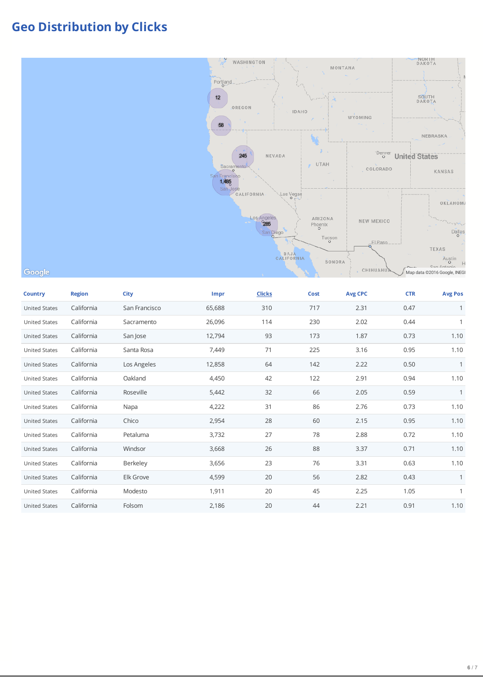#### **Geo Distribution by Clicks**



#### Google

| <b>Country</b>       | <b>Region</b> | <b>City</b>   | <b>Impr</b> | <b>Clicks</b> | <b>Cost</b> | <b>Avg CPC</b> | <b>CTR</b> | <b>Avg Pos</b> |
|----------------------|---------------|---------------|-------------|---------------|-------------|----------------|------------|----------------|
| <b>United States</b> | California    | San Francisco | 65,688      | 310           | 717         | 2.31           | 0.47       | 1              |
| <b>United States</b> | California    | Sacramento    | 26,096      | 114           | 230         | 2.02           | 0.44       | $\mathbf{1}$   |
| <b>United States</b> | California    | San Jose      | 12,794      | 93            | 173         | 1.87           | 0.73       | 1.10           |
| <b>United States</b> | California    | Santa Rosa    | 7,449       | 71            | 225         | 3.16           | 0.95       | 1.10           |
| <b>United States</b> | California    | Los Angeles   | 12,858      | 64            | 142         | 2.22           | 0.50       | $\mathbf{1}$   |
| <b>United States</b> | California    | Oakland       | 4,450       | 42            | 122         | 2.91           | 0.94       | 1.10           |
| <b>United States</b> | California    | Roseville     | 5,442       | 32            | 66          | 2.05           | 0.59       | 1              |
| <b>United States</b> | California    | Napa          | 4,222       | 31            | 86          | 2.76           | 0.73       | 1.10           |
| <b>United States</b> | California    | Chico         | 2,954       | 28            | 60          | 2.15           | 0.95       | 1.10           |
| <b>United States</b> | California    | Petaluma      | 3,732       | 27            | 78          | 2.88           | 0.72       | 1.10           |
| <b>United States</b> | California    | Windsor       | 3,668       | 26            | 88          | 3.37           | 0.71       | 1.10           |
| <b>United States</b> | California    | Berkeley      | 3,656       | 23            | 76          | 3.31           | 0.63       | 1.10           |
| <b>United States</b> | California    | Elk Grove     | 4,599       | 20            | 56          | 2.82           | 0.43       | 1              |
| <b>United States</b> | California    | Modesto       | 1,911       | 20            | 45          | 2.25           | 1.05       | $\mathbf{1}$   |
| <b>United States</b> | California    | Folsom        | 2,186       | 20            | 44          | 2.21           | 0.91       | 1.10           |